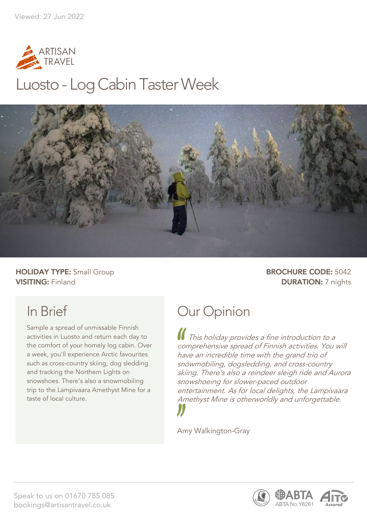

## Luosto - Log Cabin Taster Week



**HOLIDAY TYPE:** Small Group **BROCHURE CODE:** 5042 **VISITING:** Finland **DURATION:** 7 nights

## In Brief

Sample a spread of unmissable Finnish activities in Luosto and return each day to the comfort of your homely log cabin. Over a week, you'll experience Arctic favourites such as cross-country skiing, dog sledding and tracking the Northern Lights on snowshoes. There's also a snowmobiling trip to the Lampivaara Amethyst Mine for a taste of local culture.

## Our Opinion

This holiday provides a fine introduction to a comprehensive spread of Finnish activities. You will have an incredible time with the grand trio of snowmobiling, dogsledding, and cross-country skiing. There's also a reindeer sleigh ride and Aurora snowshoeing for slower-paced outdoor entertainment. As for local delights, the Lampivaara Amethyst Mine is otherworldly and unforgettable.

Amy Walkington-Gray

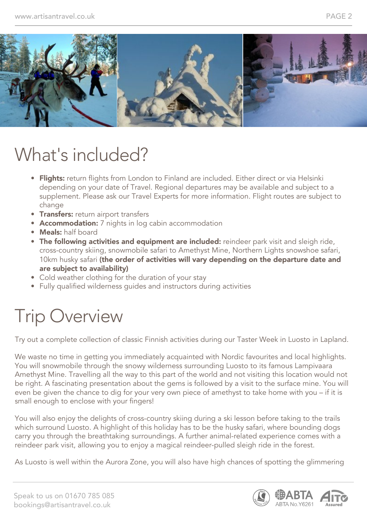

# What's included?

- Flights: return flights from London to Finland are included. Either direct or via Helsinki depending on your date of Travel. Regional departures may be available and subject to a supplement. Please ask our Travel Experts for more information. Flight routes are subject to change
- **Transfers:** return airport transfers
- **Accommodation:** 7 nights in log cabin accommodation
- Meals: half board
- The following activities and equipment are included: reindeer park visit and sleigh ride, cross-country skiing, snowmobile safari to Amethyst Mine, Northern Lights snowshoe safari, 10km husky safari (the order of activities will vary depending on the departure date and are subject to availability)
- Cold weather clothing for the duration of your stay
- Fully qualified wilderness guides and instructors during activities

# Trip Overview

Try out a complete collection of classic Finnish activities during our Taster Week in Luosto in Lapland.

We waste no time in getting you immediately acquainted with Nordic favourites and local highlights. You will snowmobile through the snowy wilderness surrounding Luosto to its famous Lampivaara Amethyst Mine. Travelling all the way to this part of the world and not visiting this location would not be right. A fascinating presentation about the gems is followed by a visit to the surface mine. You will even be given the chance to dig for your very own piece of amethyst to take home with you – if it is small enough to enclose with your fingers!

You will also enjoy the delights of cross-country skiing during a ski lesson before taking to the trails which surround Luosto. A highlight of this holiday has to be the husky safari, where bounding dogs carry you through the breathtaking surroundings. A further animal-related experience comes with a reindeer park visit, allowing you to enjoy a magical reindeer-pulled sleigh ride in the forest.

As Luosto is well within the Aurora Zone, you will also have high chances of spotting the glimmering



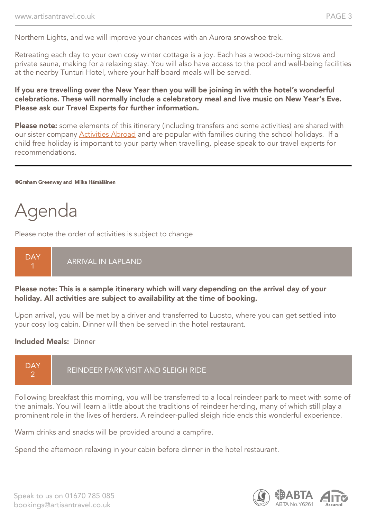Northern Lights, and we will improve your chances with an Aurora snowshoe trek.

Retreating each day to your own cosy winter cottage is a joy. Each has a wood-burning stove and private sauna, making for a relaxing stay. You will also have access to the pool and well-being facilities at the nearby Tunturi Hotel, where your half board meals will be served.

#### If you are travelling over the New Year then you will be joining in with the hotel's wonderful celebrations. These will normally include a celebratory meal and live music on New Year's Eve. Please ask our Travel Experts for further information.

Please note: some elements of this itinerary (including transfers and some activities) are shared with our sister company [Activities Abroad](https://www.activitiesabroad.com/) and are popular with families during the school holidays. If a child free holiday is important to your party when travelling, please speak to our travel experts for recommendations.

©Graham Greenway and Miika Hämäläinen

# Agenda

Please note the order of activities is subject to change

#### **DAY** ARRIVAL IN LAPLAND

#### Please note: This is a sample itinerary which will vary depending on the arrival day of your holiday. All activities are subject to availability at the time of booking.

Upon arrival, you will be met by a driver and transferred to Luosto, where you can get settled into your cosy log cabin. Dinner will then be served in the hotel restaurant.

#### Included Meals: Dinner



Following breakfast this morning, you will be transferred to a local reindeer park to meet with some of the animals. You will learn a little about the traditions of reindeer herding, many of which still play a prominent role in the lives of herders. A reindeer-pulled sleigh ride ends this wonderful experience.

Warm drinks and snacks will be provided around a campfire.

Spend the afternoon relaxing in your cabin before dinner in the hotel restaurant.



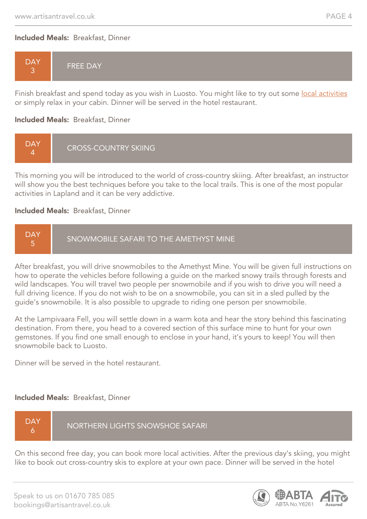#### Included Meals: Breakfast, Dinner



Finish breakfast and spend today as you wish in Luosto. You might like to try out some local activities or simply relax in your cabin. Dinner will be served in the hotel restaurant.

#### Included Meals: Breakfast, Dinner



This morning you will be introduced to the world of cross-country skiing. After breakfast, an instructor will show you the best techniques before you take to the local trails. This is one of the most popular activities in Lapland and it can be very addictive.

#### Included Meals: Breakfast, Dinner



After breakfast, you will drive snowmobiles to the Amethyst Mine. You will be given full instructions on how to operate the vehicles before following a guide on the marked snowy trails through forests and wild landscapes. You will travel two people per snowmobile and if you wish to drive you will need a full driving licence. If you do not wish to be on a snowmobile, you can sit in a sled pulled by the guide's snowmobile. It is also possible to upgrade to riding one person per snowmobile.

At the Lampivaara Fell, you will settle down in a warm kota and hear the story behind this fascinating destination. From there, you head to a covered section of this surface mine to hunt for your own gemstones. If you find one small enough to enclose in your hand, it's yours to keep! You will then snowmobile back to Luosto.

Dinner will be served in the hotel restaurant.

#### Included Meals: Breakfast, Dinner



On this second free day, you can book more local activities. After the previous day's skiing, you might like to book out cross-country skis to explore at your own pace. Dinner will be served in the hotel

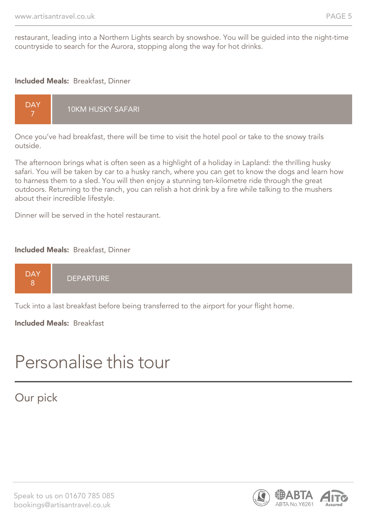restaurant, leading into a Northern Lights search by snowshoe. You will be guided into the night-time countryside to search for the Aurora, stopping along the way for hot drinks.

#### Included Meals: Breakfast, Dinner



Once you've had breakfast, there will be time to visit the hotel pool or take to the snowy trails outside.

The afternoon brings what is often seen as a highlight of a holiday in Lapland: the thrilling husky safari. You will be taken by car to a husky ranch, where you can get to know the dogs and learn how to harness them to a sled. You will then enjoy a stunning ten-kilometre ride through the great outdoors. Returning to the ranch, you can relish a hot drink by a fire while talking to the mushers about their incredible lifestyle.

Dinner will be served in the hotel restaurant.

#### Included Meals: Breakfast, Dinner

|--|

Tuck into a last breakfast before being transferred to the airport for your flight home.

Included Meals: Breakfast

## Personalise this tour

## Our pick

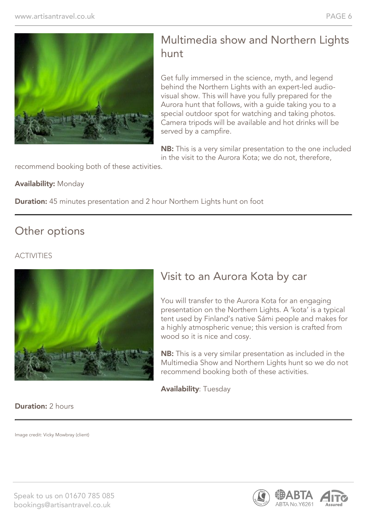

## Multimedia show and Northern Lights hunt

Get fully immersed in the science, myth, and legend behind the Northern Lights with an expert-led audiovisual show. This will have you fully prepared for the Aurora hunt that follows, with a guide taking you to a special outdoor spot for watching and taking photos. Camera tripods will be available and hot drinks will be served by a campfire.

**NB:** This is a very similar presentation to the one included in the visit to the Aurora Kota; we do not, therefore,

recommend booking both of these activities.

#### Availability: Monday

**Duration:** 45 minutes presentation and 2 hour Northern Lights hunt on foot

### Other options

### ACTIVITIES



## Visit to an Aurora Kota by car

You will transfer to the Aurora Kota for an engaging presentation on the Northern Lights. A 'kota' is a typical tent used by Finland's native Sámi people and makes for a highly atmospheric venue; this version is crafted from wood so it is nice and cosy.

NB: This is a very similar presentation as included in the Multimedia Show and Northern Lights hunt so we do not recommend booking both of these activities.

Availability: Tuesday

#### **Duration: 2 hours**

Image credit: Vicky Mowbray (client)



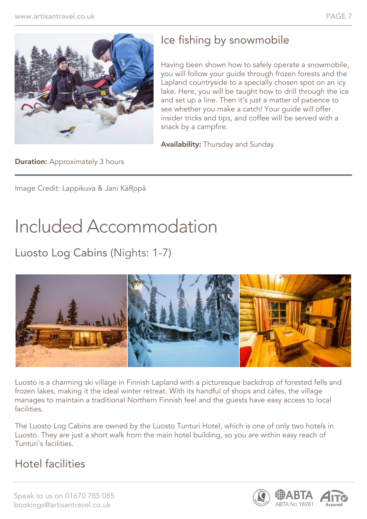

## Ice fishing by snowmobile

Having been shown how to safely operate a snowmobile, you will follow your guide through frozen forests and the Lapland countryside to a specially chosen spot on an icy lake. Here, you will be taught how to drill through the ice and set up a line. Then it's just a matter of patience to see whether you make a catch! Your guide will offer insider tricks and tips, and coffee will be served with a snack by a campfire.

Availability: Thursday and Sunday

**Duration:** Approximately 3 hours

Image Credit: Lappikuva & Jani KäRppä

# Included Accommodation

Luosto Log Cabins (Nights: 1-7)



Luosto is a charming ski village in Finnish Lapland with a picturesque backdrop of forested fells and frozen lakes, making it the ideal winter retreat. With its handful of shops and cáfes, the village manages to maintain a traditional Northern Finnish feel and the guests have easy access to local facilities.

The Luosto Log Cabins are owned by the Luosto Tunturi Hotel, which is one of only two hotels in Luosto. They are just a short walk from the main hotel building, so you are within easy reach of Tunturi's facilities.

## Hotel facilities

Speak to us on 01670 785 085 bookings@artisantravel.co.uk

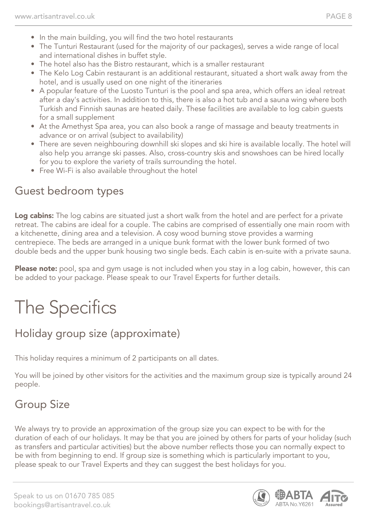- In the main building, you will find the two hotel restaurants
- The Tunturi Restaurant (used for the majority of our packages), serves a wide range of local and international dishes in buffet style.
- The hotel also has the Bistro restaurant, which is a smaller restaurant
- The Kelo Log Cabin restaurant is an additional restaurant, situated a short walk away from the hotel, and is usually used on one night of the itineraries
- A popular feature of the Luosto Tunturi is the pool and spa area, which offers an ideal retreat after a day's activities. In addition to this, there is also a hot tub and a sauna wing where both Turkish and Finnish saunas are heated daily. These facilities are available to log cabin guests for a small supplement
- At the Amethyst Spa area, you can also book a range of massage and beauty treatments in advance or on arrival (subject to availability)
- There are seven neighbouring downhill ski slopes and ski hire is available locally. The hotel will also help you arrange ski passes. Also, cross-country skis and snowshoes can be hired locally for you to explore the variety of trails surrounding the hotel.
- Free Wi-Fi is also available throughout the hotel

## Guest bedroom types

Log cabins: The log cabins are situated just a short walk from the hotel and are perfect for a private retreat. The cabins are ideal for a couple. The cabins are comprised of essentially one main room with a kitchenette, dining area and a television. A cosy wood burning stove provides a warming centrepiece. The beds are arranged in a unique bunk format with the lower bunk formed of two double beds and the upper bunk housing two single beds. Each cabin is en-suite with a private sauna.

Please note: pool, spa and gym usage is not included when you stay in a log cabin, however, this can be added to your package. Please speak to our Travel Experts for further details.

# The Specifics

## Holiday group size (approximate)

This holiday requires a minimum of 2 participants on all dates.

You will be joined by other visitors for the activities and the maximum group size is typically around 24 people.

## Group Size

We always try to provide an approximation of the group size you can expect to be with for the duration of each of our holidays. It may be that you are joined by others for parts of your holiday (such as transfers and particular activities) but the above number reflects those you can normally expect to be with from beginning to end. If group size is something which is particularly important to you, please speak to our Travel Experts and they can suggest the best holidays for you.